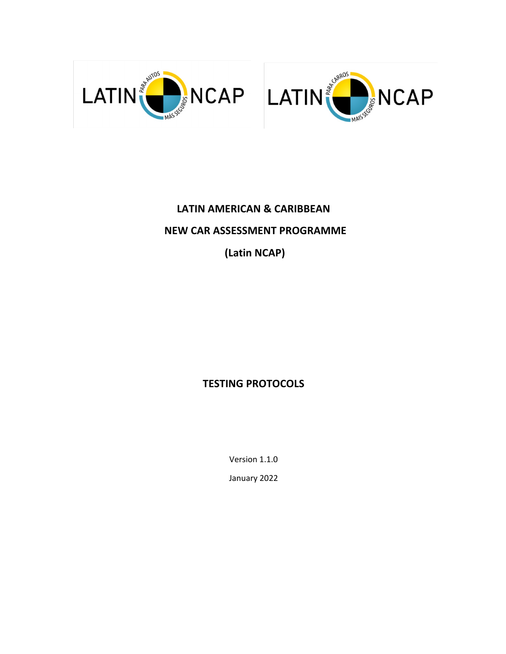



# **LATIN AMERICAN & CARIBBEAN NEW CAR ASSESSMENT PROGRAMME**

**(Latin NCAP)**

## **TESTING PROTOCOLS**

Version 1.1.0

January 2022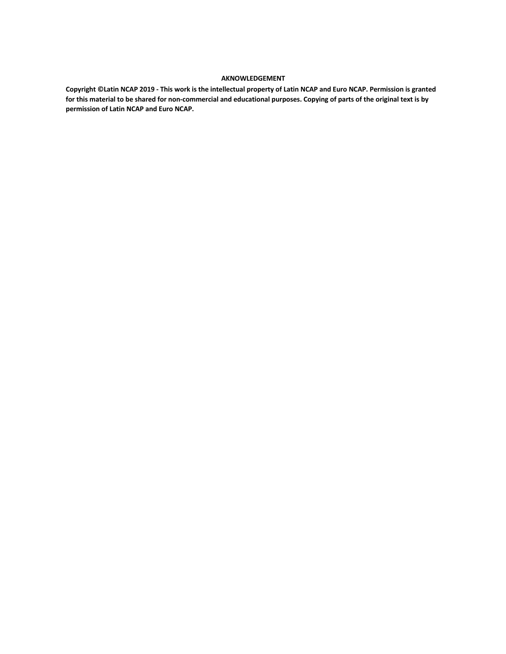#### **AKNOWLEDGEMENT**

**Copyright ©Latin NCAP 2019 - This work is the intellectual property of Latin NCAP and Euro NCAP. Permission is granted for this material to be shared for non-commercial and educational purposes. Copying of parts of the original text is by permission of Latin NCAP and Euro NCAP.**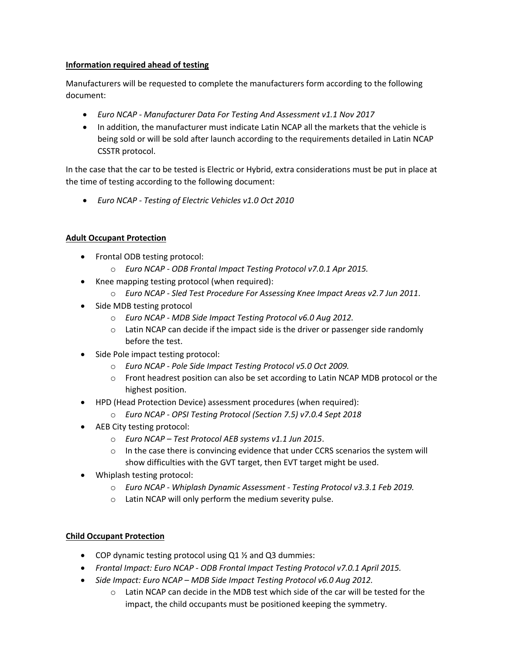#### **Information required ahead of testing**

Manufacturers will be requested to complete the manufacturers form according to the following document:

- *Euro NCAP - Manufacturer Data For Testing And Assessment v1.1 Nov 2017*
- In addition, the manufacturer must indicate Latin NCAP all the markets that the vehicle is being sold or will be sold after launch according to the requirements detailed in Latin NCAP CSSTR protocol.

In the case that the car to be tested is Electric or Hybrid, extra considerations must be put in place at the time of testing according to the following document:

• *Euro NCAP - Testing of Electric Vehicles v1.0 Oct 2010*

### **Adult Occupant Protection**

- Frontal ODB testing protocol:
	- o *Euro NCAP - ODB Frontal Impact Testing Protocol v7.0.1 Apr 2015.*
- Knee mapping testing protocol (when required):
	- o *Euro NCAP - Sled Test Procedure For Assessing Knee Impact Areas v2.7 Jun 2011*.
- Side MDB testing protocol
	- o *Euro NCAP - MDB Side Impact Testing Protocol v6.0 Aug 2012.*
	- $\circ$  Latin NCAP can decide if the impact side is the driver or passenger side randomly before the test.
- Side Pole impact testing protocol:
	- o *Euro NCAP - Pole Side Impact Testing Protocol v5.0 Oct 2009.*
	- o Front headrest position can also be set according to Latin NCAP MDB protocol or the highest position.
- HPD (Head Protection Device) assessment procedures (when required):
	- o *Euro NCAP - OPSI Testing Protocol (Section 7.5) v7.0.4 Sept 2018*
- AEB City testing protocol:
	- o *Euro NCAP – Test Protocol AEB systems v1.1 Jun 2015*.
	- $\circ$  In the case there is convincing evidence that under CCRS scenarios the system will show difficulties with the GVT target, then EVT target might be used.
- Whiplash testing protocol:
	- o *Euro NCAP - Whiplash Dynamic Assessment - Testing Protocol v3.3.1 Feb 2019.*
	- o Latin NCAP will only perform the medium severity pulse.

### **Child Occupant Protection**

- COP dynamic testing protocol using Q1 ½ and Q3 dummies:
- *Frontal Impact: Euro NCAP - ODB Frontal Impact Testing Protocol v7.0.1 April 2015.*
- *Side Impact: Euro NCAP – MDB Side Impact Testing Protocol v6.0 Aug 2012.*
	- $\circ$  Latin NCAP can decide in the MDB test which side of the car will be tested for the impact, the child occupants must be positioned keeping the symmetry.